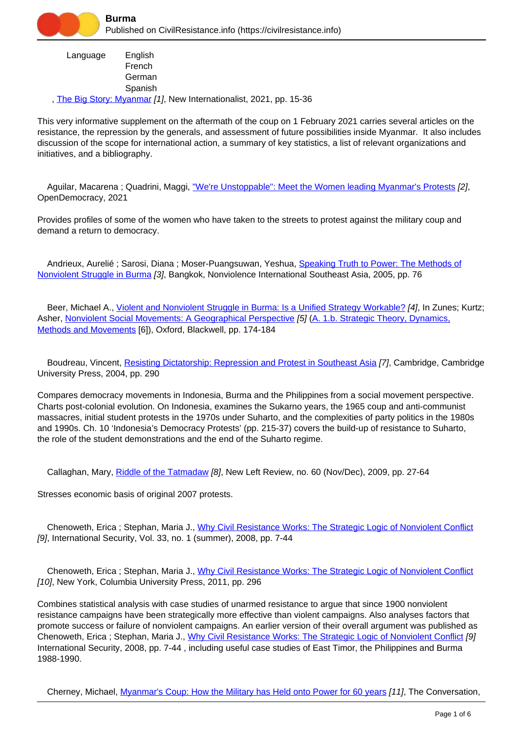

 Language , [The Big Story: Myanmar](https://civilresistance.info/biblio-item/2021/big-story-myanmar) [1], New Internationalist, 2021, pp. 15-36 English French **German** Spanish

This very informative supplement on the aftermath of the coup on 1 February 2021 carries several articles on the resistance, the repression by the generals, and assessment of future possibilities inside Myanmar. It also includes discussion of the scope for international action, a summary of key statistics, a list of relevant organizations and initiatives, and a bibliography.

Aguilar, Macarena; Quadrini, Maggi, ["We're Unstoppable": Meet the Women leading Myanmar's Protests](https://civilresistance.info/biblio-item/2021/were-unstoppable-meet-women-leading-myanmars-protests) [2], OpenDemocracy, 2021

Provides profiles of some of the women who have taken to the streets to protest against the military coup and demand a return to democracy.

Andrieux, Aurelié ; Sarosi, Diana ; Moser-Puangsuwan, Yeshua, [Speaking Truth to Power: The Methods of](https://civilresistance.info/biblio-item/2005/speaking-truth-power-methods-nonviolent-struggle-burma) [Nonviolent Struggle in Burma](https://civilresistance.info/biblio-item/2005/speaking-truth-power-methods-nonviolent-struggle-burma) [3], Bangkok, Nonviolence International Southeast Asia, 2005, pp. 76

 Beer, Michael A., [Violent and Nonviolent Struggle in Burma: Is a Unified Strategy Workable?](https://civilresistance.info/biblio-item/1999/violent-and-nonviolent-struggle-burma-unified-strategy-workable) [4], In Zunes; Kurtz; Asher, [Nonviolent Social Movements: A Geographical Perspective](https://civilresistance.info/biblio-item/1999/nonviolent-social-movements-geographical-perspective) [5] [\(A. 1.b. Strategic Theory, Dynamics,](https://civilresistance.info/section/introduction-nonviolent-action/1-theory-methods-and-examples/1b-strategic-theory-dynamics) [Methods and Movements](https://civilresistance.info/section/introduction-nonviolent-action/1-theory-methods-and-examples/1b-strategic-theory-dynamics) [6]), Oxford, Blackwell, pp. 174-184

Boudreau, Vincent, [Resisting Dictatorship: Repression and Protest in Southeast Asia](https://civilresistance.info/biblio-item/2004/resisting-dictatorship-repression-and-protest-southeast-asia) [7], Cambridge, Cambridge University Press, 2004, pp. 290

Compares democracy movements in Indonesia, Burma and the Philippines from a social movement perspective. Charts post-colonial evolution. On Indonesia, examines the Sukarno years, the 1965 coup and anti-communist massacres, initial student protests in the 1970s under Suharto, and the complexities of party politics in the 1980s and 1990s. Ch. 10 'Indonesia's Democracy Protests' (pp. 215-37) covers the build-up of resistance to Suharto, the role of the student demonstrations and the end of the Suharto regime.

Callaghan, Mary, [Riddle of the Tatmadaw](https://civilresistance.info/biblio-item/2009/riddle-tatmadaw) [8], New Left Review, no. 60 (Nov/Dec), 2009, pp. 27-64

Stresses economic basis of original 2007 protests.

 Chenoweth, Erica ; Stephan, Maria J., [Why Civil Resistance Works: The Strategic Logic of Nonviolent Conflict](https://civilresistance.info/biblio-item/2008/why-civil-resistance-works-strategic-logic-nonviolent-conflict) [9], International Security, Vol. 33, no. 1 (summer), 2008, pp. 7-44

 Chenoweth, Erica ; Stephan, Maria J., [Why Civil Resistance Works: The Strategic Logic of Nonviolent Conflict](https://civilresistance.info/biblio-item/2011/why-civil-resistance-works-strategic-logic-nonviolent-conflict) [10], New York, Columbia University Press, 2011, pp. 296

Combines statistical analysis with case studies of unarmed resistance to argue that since 1900 nonviolent resistance campaigns have been strategically more effective than violent campaigns. Also analyses factors that promote success or failure of nonviolent campaigns. An earlier version of their overall argument was published as Chenoweth, Erica ; Stephan, Maria J., [Why Civil Resistance Works: The Strategic Logic of Nonviolent Conflict](https://civilresistance.info/biblio-item/2008/why-civil-resistance-works-strategic-logic-nonviolent-conflict) [9] International Security, 2008, pp. 7-44 , including useful case studies of East Timor, the Philippines and Burma 1988-1990.

Cherney, Michael, [Myanmar's Coup: How the Military has Held onto Power for 60 years](https://civilresistance.info/biblio-item/2021/myanmars-coup-how-military-has-held-power-60-years) [11], The Conversation,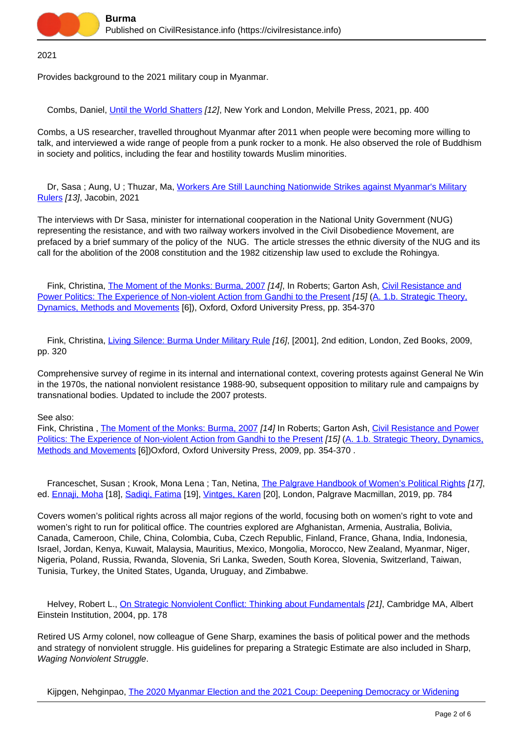

2021

Provides background to the 2021 military coup in Myanmar.

Combs, Daniel, [Until the World Shatters](https://civilresistance.info/biblio-item/2021/until-world-shatters) [12], New York and London, Melville Press, 2021, pp. 400

Combs, a US researcher, travelled throughout Myanmar after 2011 when people were becoming more willing to talk, and interviewed a wide range of people from a punk rocker to a monk. He also observed the role of Buddhism in society and politics, including the fear and hostility towards Muslim minorities.

Dr, Sasa; Aung, U; Thuzar, Ma, [Workers Are Still Launching Nationwide Strikes against Myanmar's Military](https://civilresistance.info/biblio-item/2021/workers-are-still-launching-nationwide-strikes-against-myanmars-military-rulers) [Rulers](https://civilresistance.info/biblio-item/2021/workers-are-still-launching-nationwide-strikes-against-myanmars-military-rulers) [13], Jacobin, 2021

The interviews with Dr Sasa, minister for international cooperation in the National Unity Government (NUG) representing the resistance, and with two railway workers involved in the Civil Disobedience Movement, are prefaced by a brief summary of the policy of the NUG. The article stresses the ethnic diversity of the NUG and its call for the abolition of the 2008 constitution and the 1982 citizenship law used to exclude the Rohingya.

Fink, Christina, [The Moment of the Monks: Burma, 2007](https://civilresistance.info/biblio-item/2009/moment-monks-burma-2007) [14], In Roberts; Garton Ash, [Civil Resistance and](https://civilresistance.info/biblio-item/2009/civil-resistance-and-power-politics-experience-non-violent-action-gandhi-present) [Power Politics: The Experience of Non-violent Action from Gandhi to the Present](https://civilresistance.info/biblio-item/2009/civil-resistance-and-power-politics-experience-non-violent-action-gandhi-present) [15] [\(A. 1.b. Strategic Theory,](https://civilresistance.info/section/introduction-nonviolent-action/1-theory-methods-and-examples/1b-strategic-theory-dynamics) [Dynamics, Methods and Movements](https://civilresistance.info/section/introduction-nonviolent-action/1-theory-methods-and-examples/1b-strategic-theory-dynamics) [6]), Oxford, Oxford University Press, pp. 354-370

Fink, Christina, [Living Silence: Burma Under Military Rule](https://civilresistance.info/biblio-item/2009/living-silence-burma-under-military-rule) [16], [2001], 2nd edition, London, Zed Books, 2009, pp. 320

Comprehensive survey of regime in its internal and international context, covering protests against General Ne Win in the 1970s, the national nonviolent resistance 1988-90, subsequent opposition to military rule and campaigns by transnational bodies. Updated to include the 2007 protests.

See also:

Fink, Christina, [The Moment of the Monks: Burma, 2007](https://civilresistance.info/biblio-item/2009/moment-monks-burma-2007) [14] In Roberts; Garton Ash, [Civil Resistance and Power](https://civilresistance.info/biblio-item/2009/civil-resistance-and-power-politics-experience-non-violent-action-gandhi-present) [Politics: The Experience of Non-violent Action from Gandhi to the Present](https://civilresistance.info/biblio-item/2009/civil-resistance-and-power-politics-experience-non-violent-action-gandhi-present) [15] [\(A. 1.b. Strategic Theory, Dynamics,](https://civilresistance.info/section/introduction-nonviolent-action/1-theory-methods-and-examples/1b-strategic-theory-dynamics) [Methods and Movements](https://civilresistance.info/section/introduction-nonviolent-action/1-theory-methods-and-examples/1b-strategic-theory-dynamics) [6])Oxford, Oxford University Press, 2009, pp. 354-370 .

Franceschet, Susan ; Krook, Mona Lena ; Tan, Netina, [The Palgrave Handbook of Women's Political Rights](https://civilresistance.info/biblio-item/2019/palgrave-handbook-womens-political-rights) [17], ed. [Ennaji, Moha](https://civilresistance.info/author/2571) [18], [Sadiqi, Fatima](https://civilresistance.info/author/2572) [19], [Vintges, Karen](https://civilresistance.info/author/2573) [20], London, Palgrave Macmillan, 2019, pp. 784

Covers women's political rights across all major regions of the world, focusing both on women's right to vote and women's right to run for political office. The countries explored are Afghanistan, Armenia, Australia, Bolivia, Canada, Cameroon, Chile, China, Colombia, Cuba, Czech Republic, Finland, France, Ghana, India, Indonesia, Israel, Jordan, Kenya, Kuwait, Malaysia, Mauritius, Mexico, Mongolia, Morocco, New Zealand, Myanmar, Niger, Nigeria, Poland, Russia, Rwanda, Slovenia, Sri Lanka, Sweden, South Korea, Slovenia, Switzerland, Taiwan, Tunisia, Turkey, the United States, Uganda, Uruguay, and Zimbabwe.

Helvey, Robert L., [On Strategic Nonviolent Conflict: Thinking about Fundamentals](https://civilresistance.info/biblio-item/2004/strategic-nonviolent-conflict-thinking-about-fundamentals) [21], Cambridge MA, Albert Einstein Institution, 2004, pp. 178

Retired US Army colonel, now colleague of Gene Sharp, examines the basis of political power and the methods and strategy of nonviolent struggle. His guidelines for preparing a Strategic Estimate are also included in Sharp, Waging Nonviolent Struggle.

Kijpgen, Nehginpao, [The 2020 Myanmar Election and the 2021 Coup: Deepening Democracy or Widening](https://civilresistance.info/biblio-item/2021/2020-myanmar-election-and-2021-coup-deepening-democracy-or-widening-division)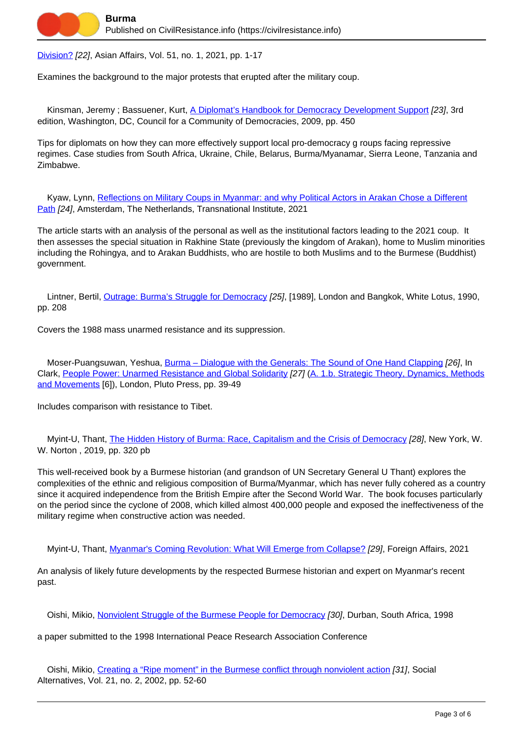[Division?](https://civilresistance.info/biblio-item/2021/2020-myanmar-election-and-2021-coup-deepening-democracy-or-widening-division) [22], Asian Affairs, Vol. 51, no. 1, 2021, pp. 1-17

Examines the background to the major protests that erupted after the military coup.

Kinsman, Jeremy; Bassuener, Kurt, [A Diplomat's Handbook for Democracy Development Support](https://civilresistance.info/biblio-item/2009/diplomats-handbook-democracy-development-support) [23], 3rd edition, Washington, DC, Council for a Community of Democracies, 2009, pp. 450

Tips for diplomats on how they can more effectively support local pro-democracy g roups facing repressive regimes. Case studies from South Africa, Ukraine, Chile, Belarus, Burma/Myanamar, Sierra Leone, Tanzania and Zimbabwe.

 Kyaw, Lynn, [Reflections on Military Coups in Myanmar: and why Political Actors in Arakan Chose a Different](https://civilresistance.info/biblio-item/2021/reflections-military-coups-myanmar-and-why-political-actors-arakan-chose-different) [Path](https://civilresistance.info/biblio-item/2021/reflections-military-coups-myanmar-and-why-political-actors-arakan-chose-different) [24], Amsterdam, The Netherlands, Transnational Institute, 2021

The article starts with an analysis of the personal as well as the institutional factors leading to the 2021 coup. It then assesses the special situation in Rakhine State (previously the kingdom of Arakan), home to Muslim minorities including the Rohingya, and to Arakan Buddhists, who are hostile to both Muslims and to the Burmese (Buddhist) government.

Lintner, Bertil, [Outrage: Burma's Struggle for Democracy](https://civilresistance.info/biblio-item/1990/outrage-burmas-struggle-democracy) [25], [1989], London and Bangkok, White Lotus, 1990, pp. 208

Covers the 1988 mass unarmed resistance and its suppression.

Moser-Puangsuwan, Yeshua, Burma - Dialogue with the Generals: The Sound of One Hand Clapping [26], In Clark, [People Power: Unarmed Resistance and Global Solidarity](https://civilresistance.info/biblio-item/2009/people-power-unarmed-resistance-and-global-solidarity) [27] [\(A. 1.b. Strategic Theory, Dynamics, Methods](https://civilresistance.info/section/introduction-nonviolent-action/1-theory-methods-and-examples/1b-strategic-theory-dynamics) [and Movements](https://civilresistance.info/section/introduction-nonviolent-action/1-theory-methods-and-examples/1b-strategic-theory-dynamics) [6]), London, Pluto Press, pp. 39-49

Includes comparison with resistance to Tibet.

 Myint-U, Thant, [The Hidden History of Burma: Race, Capitalism and the Crisis of Democracy](https://civilresistance.info/biblio-item/2019/hidden-history-burma-race-capitalism-and-crisis-democracy) [28], New York, W. W. Norton , 2019, pp. 320 pb

This well-received book by a Burmese historian (and grandson of UN Secretary General U Thant) explores the complexities of the ethnic and religious composition of Burma/Myanmar, which has never fully cohered as a country since it acquired independence from the British Empire after the Second World War. The book focuses particularly on the period since the cyclone of 2008, which killed almost 400,000 people and exposed the ineffectiveness of the military regime when constructive action was needed.

Myint-U, Thant, [Myanmar's Coming Revolution: What Will Emerge from Collapse?](https://civilresistance.info/biblio-item/2021/myanmars-coming-revolution-what-will-emerge-collapse) [29], Foreign Affairs, 2021

An analysis of likely future developments by the respected Burmese historian and expert on Myanmar's recent past.

Oishi, Mikio, [Nonviolent Struggle of the Burmese People for Democracy](https://civilresistance.info/biblio-item/1998/nonviolent-struggle-burmese-people-democracy) [30], Durban, South Africa, 1998

a paper submitted to the 1998 International Peace Research Association Conference

 Oishi, Mikio, [Creating a "Ripe moment" in the Burmese conflict through nonviolent action](https://civilresistance.info/biblio-item/2002/creating-ripe-moment-burmese-conflict-through-nonviolent-action) [31], Social Alternatives, Vol. 21, no. 2, 2002, pp. 52-60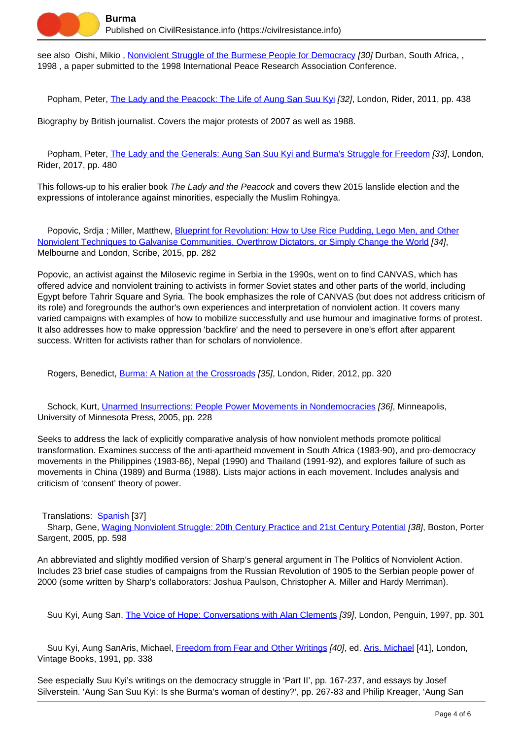

see also Oishi, Mikio, [Nonviolent Struggle of the Burmese People for Democracy](https://civilresistance.info/biblio-item/1998/nonviolent-struggle-burmese-people-democracy) [30] Durban, South Africa,, 1998 , a paper submitted to the 1998 International Peace Research Association Conference.

Popham, Peter, [The Lady and the Peacock: The Life of Aung San Suu Kyi](https://civilresistance.info/biblio-item/2011/lady-and-peacock-life-aung-san-suu-kyi) [32], London, Rider, 2011, pp. 438

Biography by British journalist. Covers the major protests of 2007 as well as 1988.

Popham, Peter, [The Lady and the Generals: Aung San Suu Kyi and Burma's Struggle for Freedom](https://civilresistance.info/biblio-item/2017/lady-and-generals-aung-san-suu-kyi-and-burmas-struggle-freedom) [33], London, Rider, 2017, pp. 480

This follows-up to his eralier book The Lady and the Peacock and covers thew 2015 lanslide election and the expressions of intolerance against minorities, especially the Muslim Rohingya.

Popovic, Srdja ; Miller, Matthew, [Blueprint for Revolution: How to Use Rice Pudding, Lego Men, and Other](https://civilresistance.info/biblio-item/2015/blueprint-revolution-how-use-rice-pudding-lego-men-and-other-nonviolent-techniques) [Nonviolent Techniques to Galvanise Communities, Overthrow Dictators, or Simply Change the World](https://civilresistance.info/biblio-item/2015/blueprint-revolution-how-use-rice-pudding-lego-men-and-other-nonviolent-techniques) [34], Melbourne and London, Scribe, 2015, pp. 282

Popovic, an activist against the Milosevic regime in Serbia in the 1990s, went on to find CANVAS, which has offered advice and nonviolent training to activists in former Soviet states and other parts of the world, including Egypt before Tahrir Square and Syria. The book emphasizes the role of CANVAS (but does not address criticism of its role) and foregrounds the author's own experiences and interpretation of nonviolent action. It covers many varied campaigns with examples of how to mobilize successfully and use humour and imaginative forms of protest. It also addresses how to make oppression 'backfire' and the need to persevere in one's effort after apparent success. Written for activists rather than for scholars of nonviolence.

Rogers, Benedict, [Burma: A Nation at the Crossroads](https://civilresistance.info/biblio-item/2012/burma-nation-crossroads) [35], London, Rider, 2012, pp. 320

 Schock, Kurt, [Unarmed Insurrections: People Power Movements in Nondemocracies](https://civilresistance.info/biblio-item/2005/unarmed-insurrections-people-power-movements-nondemocracies) [36], Minneapolis, University of Minnesota Press, 2005, pp. 228

Seeks to address the lack of explicitly comparative analysis of how nonviolent methods promote political transformation. Examines success of the anti-apartheid movement in South Africa (1983-90), and pro-democracy movements in the Philippines (1983-86), Nepal (1990) and Thailand (1991-92), and explores failure of such as movements in China (1989) and Burma (1988). Lists major actions in each movement. Includes analysis and criticism of 'consent' theory of power.

Translations: [Spanish](https://civilresistance.info/biblio-item/2008/insurrecciones-no-armadas) [37]

Sharp, Gene, [Waging Nonviolent Struggle: 20th Century Practice and 21st Century Potential](https://civilresistance.info/biblio-item/2005/waging-nonviolent-struggle-20th-century-practice-and-21st-century-potential) [38], Boston, Porter Sargent, 2005, pp. 598

An abbreviated and slightly modified version of Sharp's general argument in The Politics of Nonviolent Action. Includes 23 brief case studies of campaigns from the Russian Revolution of 1905 to the Serbian people power of 2000 (some written by Sharp's collaborators: Joshua Paulson, Christopher A. Miller and Hardy Merriman).

Suu Kyi, Aung San, [The Voice of Hope: Conversations with Alan Clements](https://civilresistance.info/biblio-item/1997/voice-hope-conversations-alan-clements) [39], London, Penguin, 1997, pp. 301

Suu Kyi, Aung SanAris, Michael, [Freedom from Fear and Other Writings](https://civilresistance.info/biblio-item/1991/freedom-fear-and-other-writings) [40], ed. [Aris, Michael](https://civilresistance.info/author/718) [41], London, Vintage Books, 1991, pp. 338

See especially Suu Kyi's writings on the democracy struggle in 'Part II', pp. 167-237, and essays by Josef Silverstein. 'Aung San Suu Kyi: Is she Burma's woman of destiny?', pp. 267-83 and Philip Kreager, 'Aung San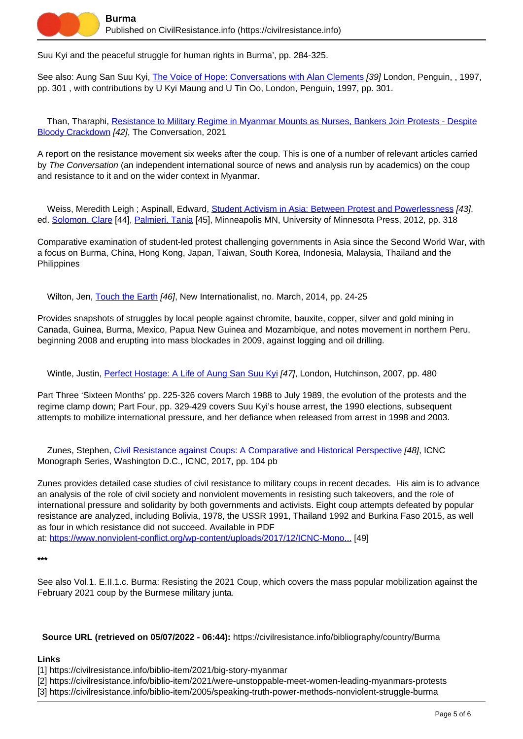

Suu Kyi and the peaceful struggle for human rights in Burma', pp. 284-325.

See also: Aung San Suu Kyi, [The Voice of Hope: Conversations with Alan Clements](https://civilresistance.info/biblio-item/1997/voice-hope-conversations-alan-clements) [39] London, Penguin, , 1997, pp. 301 , with contributions by U Kyi Maung and U Tin Oo, London, Penguin, 1997, pp. 301.

 Than, Tharaphi, [Resistance to Military Regime in Myanmar Mounts as Nurses, Bankers Join Protests - Despite](https://civilresistance.info/biblio-item/2021/resistance-military-regime-myanmar-mounts-nurses-bankers-join-protests-despite) [Bloody Crackdown](https://civilresistance.info/biblio-item/2021/resistance-military-regime-myanmar-mounts-nurses-bankers-join-protests-despite) [42], The Conversation, 2021

A report on the resistance movement six weeks after the coup. This is one of a number of relevant articles carried by The Conversation (an independent international source of news and analysis run by academics) on the coup and resistance to it and on the wider context in Myanmar.

Weiss, Meredith Leigh ; Aspinall, Edward, [Student Activism in Asia: Between Protest and Powerlessness](https://civilresistance.info/biblio-item/2012/student-activism-asia-between-protest-and-powerlessness) [43], ed. [Solomon, Clare](https://civilresistance.info/author/1168) [44], [Palmieri, Tania](https://civilresistance.info/author/1169) [45], Minneapolis MN, University of Minnesota Press, 2012, pp. 318

Comparative examination of student-led protest challenging governments in Asia since the Second World War, with a focus on Burma, China, Hong Kong, Japan, Taiwan, South Korea, Indonesia, Malaysia, Thailand and the **Philippines** 

Wilton, Jen, [Touch the Earth](https://civilresistance.info/biblio-item/2014/touch-earth) [46], New Internationalist, no. March, 2014, pp. 24-25

Provides snapshots of struggles by local people against chromite, bauxite, copper, silver and gold mining in Canada, Guinea, Burma, Mexico, Papua New Guinea and Mozambique, and notes movement in northern Peru, beginning 2008 and erupting into mass blockades in 2009, against logging and oil drilling.

Wintle, Justin, [Perfect Hostage: A Life of Aung San Suu Kyi](https://civilresistance.info/biblio-item/2007/perfect-hostage-life-aung-san-suu-kyi) [47], London, Hutchinson, 2007, pp. 480

Part Three 'Sixteen Months' pp. 225-326 covers March 1988 to July 1989, the evolution of the protests and the regime clamp down; Part Four, pp. 329-429 covers Suu Kyi's house arrest, the 1990 elections, subsequent attempts to mobilize international pressure, and her defiance when released from arrest in 1998 and 2003.

 Zunes, Stephen, [Civil Resistance against Coups: A Comparative and Historical Perspective](https://civilresistance.info/biblio-item/2017/civil-resistance-against-coups-comparative-and-historical-perspective) [48], ICNC Monograph Series, Washington D.C., ICNC, 2017, pp. 104 pb

Zunes provides detailed case studies of civil resistance to military coups in recent decades. His aim is to advance an analysis of the role of civil society and nonviolent movements in resisting such takeovers, and the role of international pressure and solidarity by both governments and activists. Eight coup attempts defeated by popular resistance are analyzed, including Bolivia, 1978, the USSR 1991, Thailand 1992 and Burkina Faso 2015, as well as four in which resistance did not succeed. Available in PDF at: [https://www.nonviolent-conflict.org/wp-content/uploads/2017/12/ICNC-Mono...](https://www.nonviolent-conflict.org/wp-content/uploads/2017/12/ICNC-Monograph-Civil-Resistance-Against-Coups.pdf) [49]

**\*\*\***

See also Vol.1. E.II.1.c. Burma: Resisting the 2021 Coup, which covers the mass popular mobilization against the February 2021 coup by the Burmese military junta.

**Source URL (retrieved on 05/07/2022 - 06:44):** https://civilresistance.info/bibliography/country/Burma

## **Links**

[1] https://civilresistance.info/biblio-item/2021/big-story-myanmar

[2] https://civilresistance.info/biblio-item/2021/were-unstoppable-meet-women-leading-myanmars-protests

[3] https://civilresistance.info/biblio-item/2005/speaking-truth-power-methods-nonviolent-struggle-burma